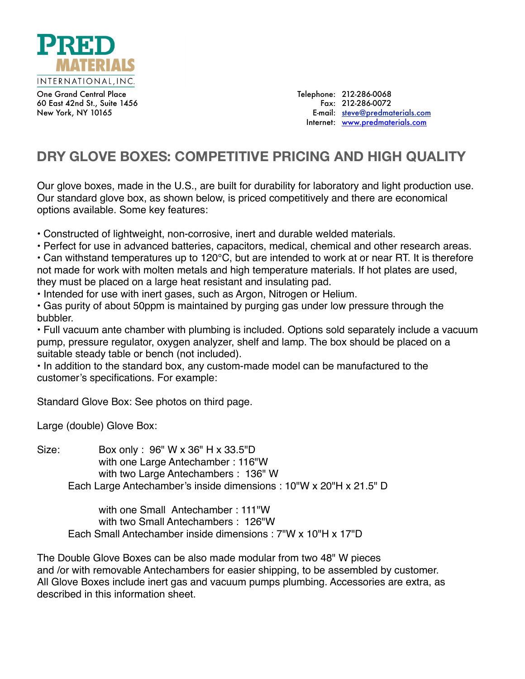

One Grand Central Place 60 East 42nd St., Suite 1456 New York, NY 10165

Telephone: 212-286-0068 Fax: 212-286-0072 E-mail: [steve@predmaterials.com](mailto:Steve@predmaterials.com) Internet: [www.predmaterials.com](http://www.predmaterials.com)

## **DRY GLOVE BOXES: COMPETITIVE PRICING AND HIGH QUALITY**

Our glove boxes, made in the U.S., are built for durability for laboratory and light production use. Our standard glove box, as shown below, is priced competitively and there are economical options available. Some key features:

• Constructed of lightweight, non-corrosive, inert and durable welded materials.

• Perfect for use in advanced batteries, capacitors, medical, chemical and other research areas.

• Can withstand temperatures up to 120°C, but are intended to work at or near RT. It is therefore not made for work with molten metals and high temperature materials. If hot plates are used, they must be placed on a large heat resistant and insulating pad.

• Intended for use with inert gases, such as Argon, Nitrogen or Helium.

• Gas purity of about 50ppm is maintained by purging gas under low pressure through the bubbler.

• Full vacuum ante chamber with plumbing is included. Options sold separately include a vacuum pump, pressure regulator, oxygen analyzer, shelf and lamp. The box should be placed on a suitable steady table or bench (not included).

• In addition to the standard box, any custom-made model can be manufactured to the customer's specifications. For example:

Standard Glove Box: See photos on third page.

Large (double) Glove Box:

Size: Box only : 96" W x 36" H x 33.5"D with one Large Antechamber : 116"W with two Large Antechambers : 136" W Each Large Antechamber's inside dimensions : 10"W x 20"H x 21.5" D

with one Small Antechamber : 111"W with two Small Antechambers : 126"W Each Small Antechamber inside dimensions : 7"W x 10"H x 17"D

The Double Glove Boxes can be also made modular from two 48" W pieces and /or with removable Antechambers for easier shipping, to be assembled by customer. All Glove Boxes include inert gas and vacuum pumps plumbing. Accessories are extra, as described in this information sheet.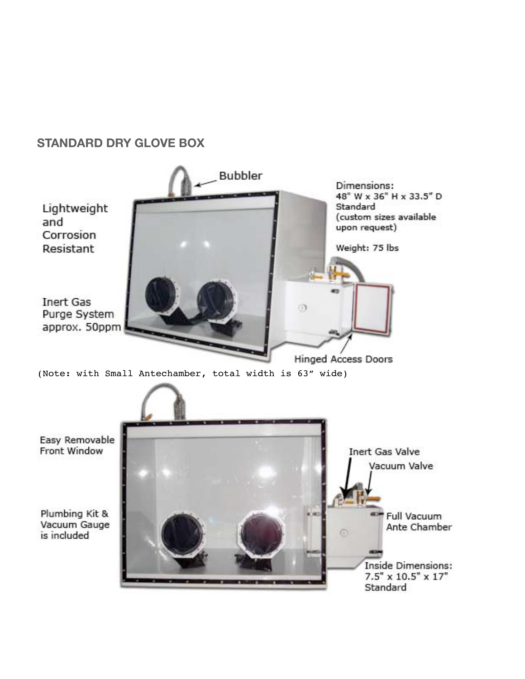## **STANDARD DRY GLOVE BOX**